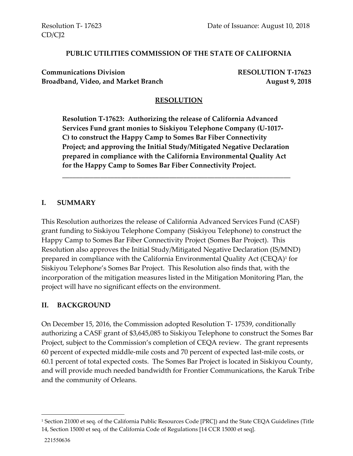#### **PUBLIC UTILITIES COMMISSION OF THE STATE OF CALIFORNIA**

**Communications Division RESOLUTION T-17623** Broadband, Video, and Market Branch **August 9, 2018** 

### **RESOLUTION**

**Resolution T-17623: Authorizing the release of California Advanced Services Fund grant monies to Siskiyou Telephone Company (U-1017- C) to construct the Happy Camp to Somes Bar Fiber Connectivity Project; and approving the Initial Study/Mitigated Negative Declaration prepared in compliance with the California Environmental Quality Act for the Happy Camp to Somes Bar Fiber Connectivity Project.**

\_\_\_\_\_\_\_\_\_\_\_\_\_\_\_\_\_\_\_\_\_\_\_\_\_\_\_\_\_\_\_\_\_\_\_\_\_\_\_\_\_\_\_\_\_\_\_\_\_\_\_\_\_\_\_\_\_\_\_\_\_\_\_\_\_\_

#### **I. SUMMARY**

This Resolution authorizes the release of California Advanced Services Fund (CASF) grant funding to Siskiyou Telephone Company (Siskiyou Telephone) to construct the Happy Camp to Somes Bar Fiber Connectivity Project (Somes Bar Project). This Resolution also approves the Initial Study/Mitigated Negative Declaration (IS/MND) prepared in compliance with the California Environmental Quality Act (CEQA)<sup>1</sup> for Siskiyou Telephone's Somes Bar Project. This Resolution also finds that, with the incorporation of the mitigation measures listed in the Mitigation Monitoring Plan, the project will have no significant effects on the environment.

#### **II. BACKGROUND**

On December 15, 2016, the Commission adopted Resolution T- 17539, conditionally authorizing a CASF grant of \$3,645,085 to Siskiyou Telephone to construct the Somes Bar Project, subject to the Commission's completion of CEQA review. The grant represents 60 percent of expected middle-mile costs and 70 percent of expected last-mile costs, or 60.1 percent of total expected costs. The Somes Bar Project is located in Siskiyou County, and will provide much needed bandwidth for Frontier Communications, the Karuk Tribe and the community of Orleans.

 $\overline{\phantom{a}}$ 

<sup>1</sup> Section 21000 et seq. of the California Public Resources Code [PRC]) and the State CEQA Guidelines (Title 14, Section 15000 et seq. of the California Code of Regulations [14 CCR 15000 et seq].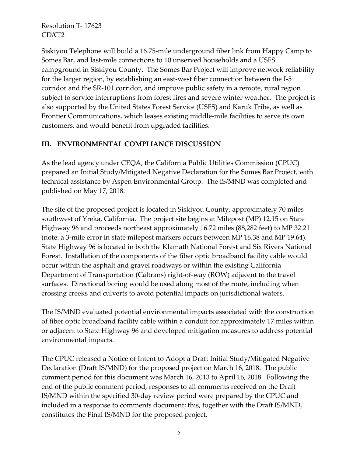Siskiyou Telephone will build a 16.75-mile underground fiber link from Happy Camp to Somes Bar, and last-mile connections to 10 unserved households and a USFS campground in Siskiyou County. The Somes Bar Project will improve network reliability for the larger region, by establishing an east-west fiber connection between the I-5 corridor and the SR-101 corridor, and improve public safety in a remote, rural region subject to service interruptions from forest fires and severe winter weather. The project is also supported by the United States Forest Service (USFS) and Karuk Tribe, as well as Frontier Communications, which leases existing middle-mile facilities to serve its own customers, and would benefit from upgraded facilities.

## **III. ENVIRONMENTAL COMPLIANCE DISCUSSION**

As the lead agency under CEQA, the California Public Utilities Commission (CPUC) prepared an Initial Study/Mitigated Negative Declaration for the Somes Bar Project, with technical assistance by Aspen Environmental Group. The IS/MND was completed and published on May 17, 2018.

The site of the proposed project is located in Siskiyou County, approximately 70 miles southwest of Yreka, California. The project site begins at Milepost (MP) 12.15 on State Highway 96 and proceeds northeast approximately 16.72 miles (88,282 feet) to MP 32.21 (note: a 3-mile error in state milepost markers occurs between MP 16.38 and MP 19.64). State Highway 96 is located in both the Klamath National Forest and Six Rivers National Forest. Installation of the components of the fiber optic broadband facility cable would occur within the asphalt and gravel roadways or within the existing California Department of Transportation (Caltrans) right-of-way (ROW) adjacent to the travel surfaces. Directional boring would be used along most of the route, including when crossing creeks and culverts to avoid potential impacts on jurisdictional waters.

The IS/MND evaluated potential environmental impacts associated with the construction of fiber optic broadband facility cable within a conduit for approximately 17 miles within or adjacent to State Highway 96 and developed mitigation measures to address potential environmental impacts.

The CPUC released a Notice of Intent to Adopt a Draft Initial Study/Mitigated Negative Declaration (Draft IS/MND) for the proposed project on March 16, 2018. The public comment period for this document was March 16, 2013 to April 16, 2018. Following the end of the public comment period, responses to all comments received on the Draft IS/MND within the specified 30-day review period were prepared by the CPUC and included in a response to comments document; this, together with the Draft IS/MND, constitutes the Final IS/MND for the proposed project.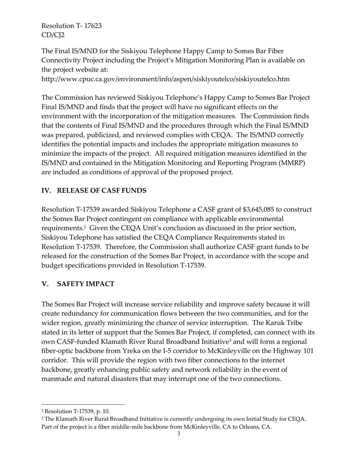The Final IS/MND for the Siskiyou Telephone Happy Camp to Somes Bar Fiber Connectivity Project including the Project's Mitigation Monitoring Plan is available on the project website at:

http://www.cpuc.ca.gov/environment/info/aspen/siskiyoutelco/siskiyoutelco.htm

The Commission has reviewed Siskiyou Telephone's Happy Camp to Somes Bar Project Final IS/MND and finds that the project will have no significant effects on the environment with the incorporation of the mitigation measures. The Commission finds that the contents of Final IS/MND and the procedures through which the Final IS/MND was prepared, publicized, and reviewed complies with CEQA. The IS/MND correctly identifies the potential impacts and includes the appropriate mitigation measures to minimize the impacts of the project. All required mitigation measures identified in the IS/MND and contained in the Mitigation Monitoring and Reporting Program (MMRP) are included as conditions of approval of the proposed project.

## **IV. RELEASE OF CASF FUNDS**

Resolution T-17539 awarded Siskiyou Telephone a CASF grant of \$3,645,085 to construct the Somes Bar Project contingent on compliance with applicable environmental requirements.<sup>2</sup> Given the CEQA Unit's conclusion as discussed in the prior section, Siskiyou Telephone has satisfied the CEQA Compliance Requirements stated in Resolution T-17539. Therefore, the Commission shall authorize CASF grant funds to be released for the construction of the Somes Bar Project, in accordance with the scope and budget specifications provided in Resolution T-17539.

## **V. SAFETY IMPACT**

The Somes Bar Project will increase service reliability and improve safety because it will create redundancy for communication flows between the two communities, and for the wider region, greatly minimizing the chance of service interruption. The Karuk Tribe stated in its letter of support that the Somes Bar Project, if completed, can connect with its own CASF-funded Klamath River Rural Broadband Initiative<sup>3</sup> and will form a regional fiber-optic backbone from Yreka on the I-5 corridor to McKinleyville on the Highway 101 corridor. This will provide the region with two fiber connections to the internet backbone, greatly enhancing public safety and network reliability in the event of manmade and natural disasters that may interrupt one of the two connections.

l

<sup>2</sup> Resolution T-17539, p. 10.

<sup>&</sup>lt;sup>3</sup> The Klamath River Rural Broadband Initiative is currently undergoing its own Initial Study for CEQA. Part of the project is a fiber middle-mile backbone from McKinleyville, CA to Orleans, CA.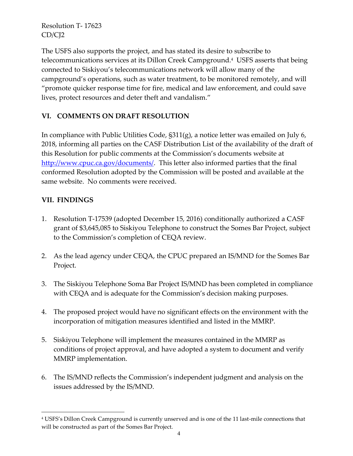The USFS also supports the project, and has stated its desire to subscribe to telecommunications services at its Dillon Creek Campground.<sup>4</sup> USFS asserts that being connected to Siskiyou's telecommunications network will allow many of the campground's operations, such as water treatment, to be monitored remotely, and will "promote quicker response time for fire, medical and law enforcement, and could save lives, protect resources and deter theft and vandalism."

# **VI. COMMENTS ON DRAFT RESOLUTION**

In compliance with Public Utilities Code, §311(g), a notice letter was emailed on July 6, 2018, informing all parties on the CASF Distribution List of the availability of the draft of this Resolution for public comments at the Commission's documents website at [http://www.cpuc.ca.gov/documents/.](http://www.cpuc.ca.gov/documents/) This letter also informed parties that the final conformed Resolution adopted by the Commission will be posted and available at the same website. No comments were received.

## **VII. FINDINGS**

l

- 1. Resolution T-17539 (adopted December 15, 2016) conditionally authorized a CASF grant of \$3,645,085 to Siskiyou Telephone to construct the Somes Bar Project, subject to the Commission's completion of CEQA review.
- 2. As the lead agency under CEQA, the CPUC prepared an IS/MND for the Somes Bar Project.
- 3. The Siskiyou Telephone Soma Bar Project IS/MND has been completed in compliance with CEQA and is adequate for the Commission's decision making purposes.
- 4. The proposed project would have no significant effects on the environment with the incorporation of mitigation measures identified and listed in the MMRP.
- 5. Siskiyou Telephone will implement the measures contained in the MMRP as conditions of project approval, and have adopted a system to document and verify MMRP implementation.
- 6. The IS/MND reflects the Commission's independent judgment and analysis on the issues addressed by the IS/MND.

<sup>4</sup> USFS's Dillon Creek Campground is currently unserved and is one of the 11 last-mile connections that will be constructed as part of the Somes Bar Project.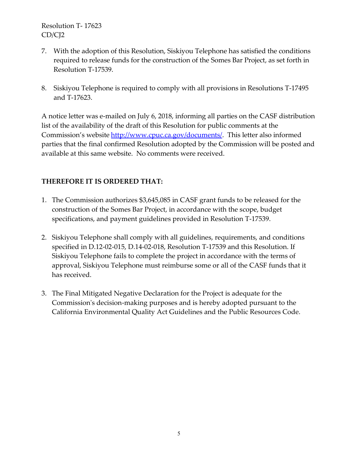- 7. With the adoption of this Resolution, Siskiyou Telephone has satisfied the conditions required to release funds for the construction of the Somes Bar Project, as set forth in Resolution T-17539.
- 8. Siskiyou Telephone is required to comply with all provisions in Resolutions T-17495 and T-17623.

A notice letter was e-mailed on July 6, 2018, informing all parties on the CASF distribution list of the availability of the draft of this Resolution for public comments at the Commission's website [http://www.cpuc.ca.gov/documents/.](http://www.cpuc.ca.gov/documents/) This letter also informed parties that the final confirmed Resolution adopted by the Commission will be posted and available at this same website. No comments were received.

## **THEREFORE IT IS ORDERED THAT:**

- 1. The Commission authorizes \$3,645,085 in CASF grant funds to be released for the construction of the Somes Bar Project, in accordance with the scope, budget specifications, and payment guidelines provided in Resolution T-17539.
- 2. Siskiyou Telephone shall comply with all guidelines, requirements, and conditions specified in D.12-02-015, D.14-02-018, Resolution T-17539 and this Resolution. If Siskiyou Telephone fails to complete the project in accordance with the terms of approval, Siskiyou Telephone must reimburse some or all of the CASF funds that it has received.
- 3. The Final Mitigated Negative Declaration for the Project is adequate for the Commission's decision-making purposes and is hereby adopted pursuant to the California Environmental Quality Act Guidelines and the Public Resources Code.